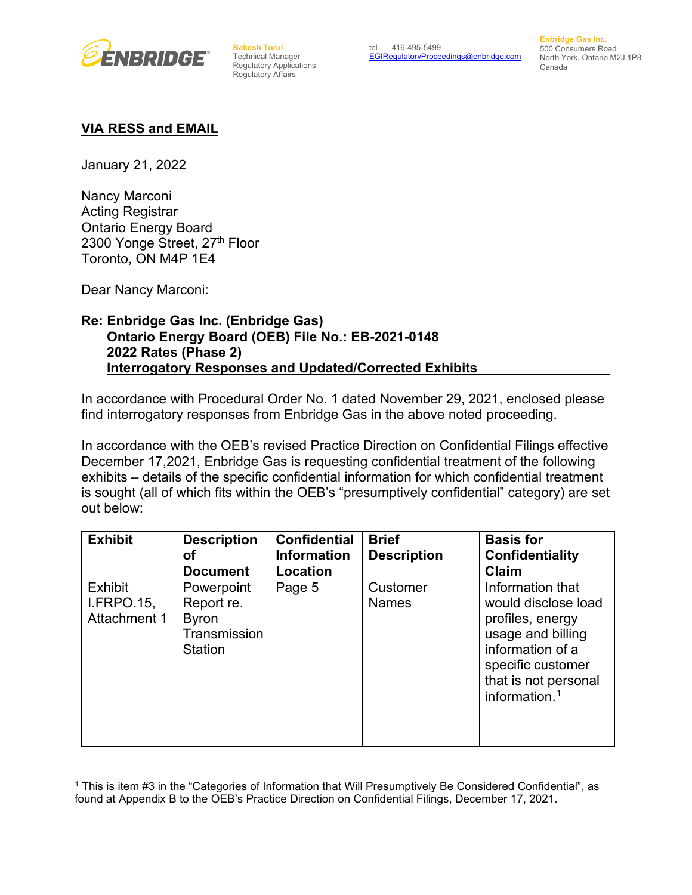

**Rakesh Torul**  Technical Manager Regulatory Applications Regulatory Affairs

**Enbridge Gas Inc.** 500 Consumers Road North York, Ontario M2J 1P8 Canada

## **VIA RESS and EMAIL**

January 21, 2022

Nancy Marconi Acting Registrar Ontario Energy Board 2300 Yonge Street, 27<sup>th</sup> Floor Toronto, ON M4P 1E4

Dear Nancy Marconi:

## **Re: Enbridge Gas Inc. (Enbridge Gas) Ontario Energy Board (OEB) File No.: EB-2021-0148 2022 Rates (Phase 2) Interrogatory Responses and Updated/Corrected Exhibits**

In accordance with Procedural Order No. 1 dated November 29, 2021, enclosed please find interrogatory responses from Enbridge Gas in the above noted proceeding.

In accordance with the OEB's revised Practice Direction on Confidential Filings effective December 17,2021, Enbridge Gas is requesting confidential treatment of the following exhibits – details of the specific confidential information for which confidential treatment is sought (all of which fits within the OEB's "presumptively confidential" category) are set out below:

| <b>Exhibit</b>                                      | <b>Description</b><br>оf                                                   | <b>Confidential</b><br><b>Information</b> | <b>Brief</b><br><b>Description</b> | <b>Basis for</b><br><b>Confidentiality</b>                                                                                                                            |
|-----------------------------------------------------|----------------------------------------------------------------------------|-------------------------------------------|------------------------------------|-----------------------------------------------------------------------------------------------------------------------------------------------------------------------|
|                                                     | <b>Document</b>                                                            | Location                                  |                                    | Claim                                                                                                                                                                 |
| <b>Exhibit</b><br><b>I.FRPO.15,</b><br>Attachment 1 | Powerpoint<br>Report re.<br><b>Byron</b><br>Transmission<br><b>Station</b> | Page 5                                    | Customer<br><b>Names</b>           | Information that<br>would disclose load<br>profiles, energy<br>usage and billing<br>information of a<br>specific customer<br>that is not personal<br>information. $1$ |

<span id="page-0-0"></span><sup>1</sup> This is item #3 in the "Categories of Information that Will Presumptively Be Considered Confidential", as found at Appendix B to the OEB's Practice Direction on Confidential Filings, December 17, 2021.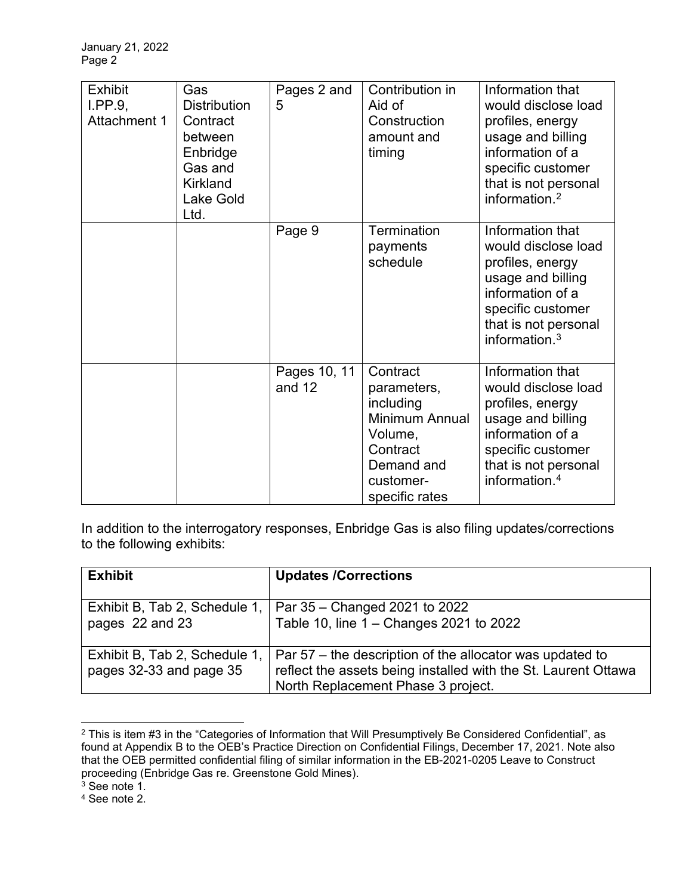| <b>Exhibit</b><br>I.PP.9,<br><b>Attachment 1</b> | Gas<br><b>Distribution</b><br>Contract<br>between<br>Enbridge<br>Gas and<br><b>Kirkland</b><br><b>Lake Gold</b><br>Ltd. | Pages 2 and<br>5         | Contribution in<br>Aid of<br>Construction<br>amount and<br>timing                                                          | Information that<br>would disclose load<br>profiles, energy<br>usage and billing<br>information of a<br>specific customer<br>that is not personal<br>information. <sup>2</sup> |
|--------------------------------------------------|-------------------------------------------------------------------------------------------------------------------------|--------------------------|----------------------------------------------------------------------------------------------------------------------------|--------------------------------------------------------------------------------------------------------------------------------------------------------------------------------|
|                                                  |                                                                                                                         | Page 9                   | Termination<br>payments<br>schedule                                                                                        | Information that<br>would disclose load<br>profiles, energy<br>usage and billing<br>information of a<br>specific customer<br>that is not personal<br>information. $3$          |
|                                                  |                                                                                                                         | Pages 10, 11<br>and $12$ | Contract<br>parameters,<br>including<br>Minimum Annual<br>Volume,<br>Contract<br>Demand and<br>customer-<br>specific rates | Information that<br>would disclose load<br>profiles, energy<br>usage and billing<br>information of a<br>specific customer<br>that is not personal<br>information. <sup>4</sup> |

In addition to the interrogatory responses, Enbridge Gas is also filing updates/corrections to the following exhibits:

| <b>Exhibit</b>                                           | <b>Updates /Corrections</b>                                                                                                                                      |
|----------------------------------------------------------|------------------------------------------------------------------------------------------------------------------------------------------------------------------|
| Exhibit B, Tab 2, Schedule 1,<br>pages 22 and 23         | Par 35 – Changed 2021 to 2022<br>Table 10, line 1 - Changes 2021 to 2022                                                                                         |
| Exhibit B, Tab 2, Schedule 1,<br>pages 32-33 and page 35 | Par 57 – the description of the allocator was updated to<br>reflect the assets being installed with the St. Laurent Ottawa<br>North Replacement Phase 3 project. |

<span id="page-1-0"></span><sup>2</sup> This is item #3 in the "Categories of Information that Will Presumptively Be Considered Confidential", as found at Appendix B to the OEB's Practice Direction on Confidential Filings, December 17, 2021. Note also that the OEB permitted confidential filing of similar information in the EB-2021-0205 Leave to Construct proceeding (Enbridge Gas re. Greenstone Gold Mines).

 $^3$  See note 1.

<span id="page-1-2"></span><span id="page-1-1"></span><sup>4</sup> See note 2.